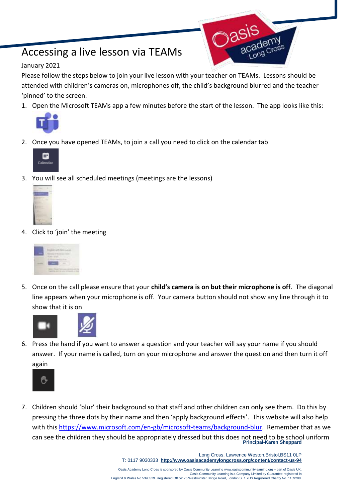## Accessing a live lesson via TEAMs

## January 2021

Please follow the steps below to join your live lesson with your teacher on TEAMs. Lessons should be attended with children's cameras on, microphones off, the child's background blurred and the teacher 'pinned' to the screen.

1. Open the Microsoft TEAMs app a few minutes before the start of the lesson. The app looks like this:



2. Once you have opened TEAMs, to join a call you need to click on the calendar tab



3. You will see all scheduled meetings (meetings are the lessons)



4. Click to 'join' the meeting



5. Once on the call please ensure that your **child's camera is on but their microphone is off**. The diagonal line appears when your microphone is off. Your camera button should not show any line through it to show that it is on



6. Press the hand if you want to answer a question and your teacher will say your name if you should answer. If your name is called, turn on your microphone and answer the question and then turn it off again



**Principal-Karen Sheppard** 7. Children should 'blur' their background so that staff and other children can only see them. Do this by pressing the three dots by their name and then 'apply background effects'. This website will also help with this [https://www.microsoft.com/en-gb/microsoft-teams/background-blur.](https://www.microsoft.com/en-gb/microsoft-teams/background-blur) Remember that as we can see the children they should be appropriately dressed but this does not need to be school uniform

> Long Cross, Lawrence Weston,Bristol,BS11 0LP T: 0117 9030333 **<http://www.oasisacademylongcross.org/content/contact-us-94>**